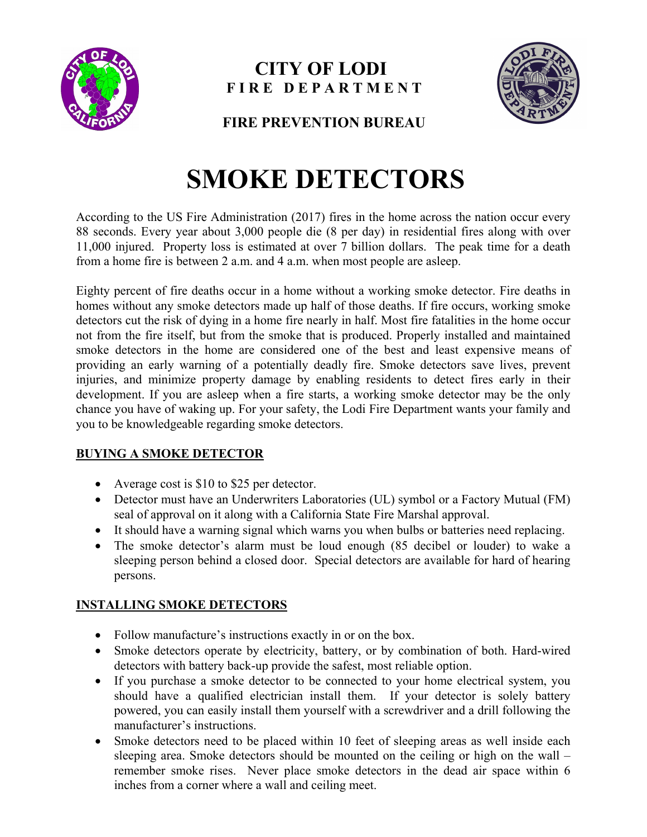

## **CITY OF LODI F I R E D E P A R T M E N T**



**FIRE PREVENTION BUREAU**

# **SMOKE DETECTORS**

According to the US Fire Administration (2017) fires in the home across the nation occur every 88 seconds. Every year about 3,000 people die (8 per day) in residential fires along with over 11,000 injured. Property loss is estimated at over 7 billion dollars. The peak time for a death from a home fire is between 2 a.m. and 4 a.m. when most people are asleep.

Eighty percent of fire deaths occur in a home without a working smoke detector. Fire deaths in homes without any smoke detectors made up half of those deaths. If fire occurs, working smoke detectors cut the risk of dying in a home fire nearly in half. Most fire fatalities in the home occur not from the fire itself, but from the smoke that is produced. Properly installed and maintained smoke detectors in the home are considered one of the best and least expensive means of providing an early warning of a potentially deadly fire. Smoke detectors save lives, prevent injuries, and minimize property damage by enabling residents to detect fires early in their development. If you are asleep when a fire starts, a working smoke detector may be the only chance you have of waking up. For your safety, the Lodi Fire Department wants your family and you to be knowledgeable regarding smoke detectors.

### **BUYING A SMOKE DETECTOR**

- Average cost is \$10 to \$25 per detector.
- Detector must have an Underwriters Laboratories (UL) symbol or a Factory Mutual (FM) seal of approval on it along with a California State Fire Marshal approval.
- It should have a warning signal which warns you when bulbs or batteries need replacing.
- The smoke detector's alarm must be loud enough (85 decibel or louder) to wake a sleeping person behind a closed door. Special detectors are available for hard of hearing persons.

#### **INSTALLING SMOKE DETECTORS**

- Follow manufacture's instructions exactly in or on the box.
- Smoke detectors operate by electricity, battery, or by combination of both. Hard-wired detectors with battery back-up provide the safest, most reliable option.
- If you purchase a smoke detector to be connected to your home electrical system, you should have a qualified electrician install them. If your detector is solely battery powered, you can easily install them yourself with a screwdriver and a drill following the manufacturer's instructions.
- Smoke detectors need to be placed within 10 feet of sleeping areas as well inside each sleeping area. Smoke detectors should be mounted on the ceiling or high on the wall – remember smoke rises. Never place smoke detectors in the dead air space within 6 inches from a corner where a wall and ceiling meet.